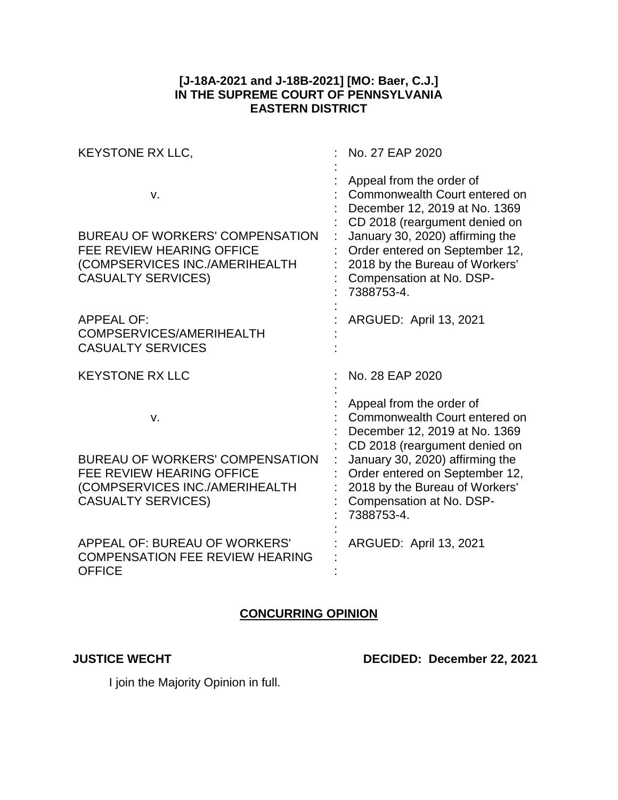## **[J-18A-2021 and J-18B-2021] [MO: Baer, C.J.] IN THE SUPREME COURT OF PENNSYLVANIA EASTERN DISTRICT**

| KEYSTONE RX LLC,                                                                                                                                | No. 27 EAP 2020                                                                                                                                                                                                                                                              |
|-------------------------------------------------------------------------------------------------------------------------------------------------|------------------------------------------------------------------------------------------------------------------------------------------------------------------------------------------------------------------------------------------------------------------------------|
| V.<br><b>BUREAU OF WORKERS' COMPENSATION</b><br><b>FEE REVIEW HEARING OFFICE</b><br>(COMPSERVICES INC./AMERIHEALTH<br><b>CASUALTY SERVICES)</b> | Appeal from the order of<br>Commonwealth Court entered on<br>December 12, 2019 at No. 1369<br>CD 2018 (reargument denied on<br>January 30, 2020) affirming the<br>Order entered on September 12,<br>2018 by the Bureau of Workers'<br>Compensation at No. DSP-<br>7388753-4. |
| <b>APPEAL OF:</b><br>COMPSERVICES/AMERIHEALTH<br><b>CASUALTY SERVICES</b>                                                                       | <b>ARGUED: April 13, 2021</b>                                                                                                                                                                                                                                                |
| <b>KEYSTONE RX LLC</b>                                                                                                                          | No. 28 EAP 2020                                                                                                                                                                                                                                                              |
| v.<br><b>BUREAU OF WORKERS' COMPENSATION</b><br><b>FEE REVIEW HEARING OFFICE</b><br>(COMPSERVICES INC./AMERIHEALTH<br><b>CASUALTY SERVICES)</b> | Appeal from the order of<br>Commonwealth Court entered on<br>December 12, 2019 at No. 1369<br>CD 2018 (reargument denied on<br>January 30, 2020) affirming the<br>Order entered on September 12,<br>2018 by the Bureau of Workers'<br>Compensation at No. DSP-<br>7388753-4. |
| <b>APPEAL OF: BUREAU OF WORKERS'</b><br><b>COMPENSATION FEE REVIEW HEARING</b><br><b>OFFICE</b>                                                 | ARGUED: April 13, 2021                                                                                                                                                                                                                                                       |

## **CONCURRING OPINION**

**JUSTICE WECHT DECIDED: December 22, 2021**

I join the Majority Opinion in full.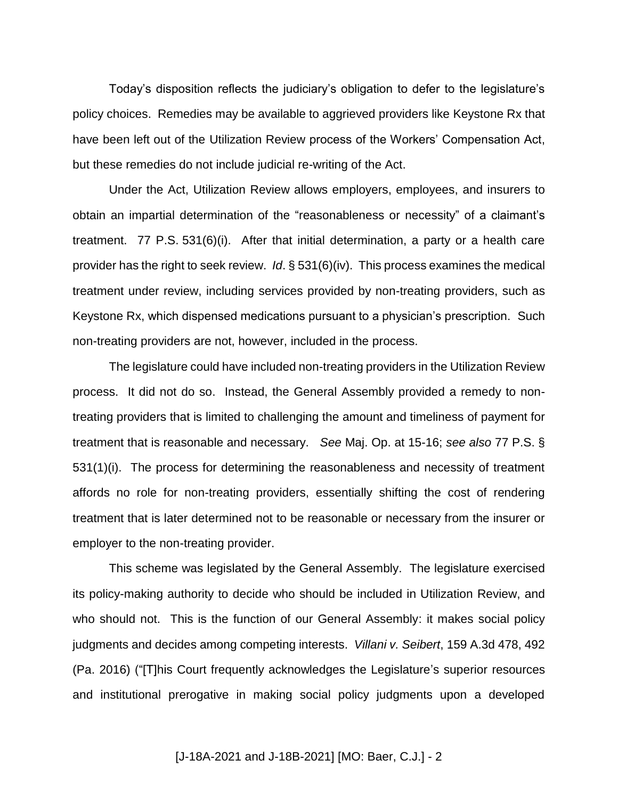Today's disposition reflects the judiciary's obligation to defer to the legislature's policy choices. Remedies may be available to aggrieved providers like Keystone Rx that have been left out of the Utilization Review process of the Workers' Compensation Act, but these remedies do not include judicial re-writing of the Act.

Under the Act, Utilization Review allows employers, employees, and insurers to obtain an impartial determination of the "reasonableness or necessity" of a claimant's treatment. 77 P.S. 531(6)(i). After that initial determination, a party or a health care provider has the right to seek review. *Id*. § 531(6)(iv). This process examines the medical treatment under review, including services provided by non-treating providers, such as Keystone Rx, which dispensed medications pursuant to a physician's prescription. Such non-treating providers are not, however, included in the process.

The legislature could have included non-treating providers in the Utilization Review process. It did not do so. Instead, the General Assembly provided a remedy to nontreating providers that is limited to challenging the amount and timeliness of payment for treatment that is reasonable and necessary. *See* Maj. Op. at 15-16; *see also* 77 P.S. § 531(1)(i). The process for determining the reasonableness and necessity of treatment affords no role for non-treating providers, essentially shifting the cost of rendering treatment that is later determined not to be reasonable or necessary from the insurer or employer to the non-treating provider.

This scheme was legislated by the General Assembly. The legislature exercised its policy-making authority to decide who should be included in Utilization Review, and who should not. This is the function of our General Assembly: it makes social policy judgments and decides among competing interests. *Villani v. Seibert*, 159 A.3d 478, 492 (Pa. 2016) ("[T]his Court frequently acknowledges the Legislature's superior resources and institutional prerogative in making social policy judgments upon a developed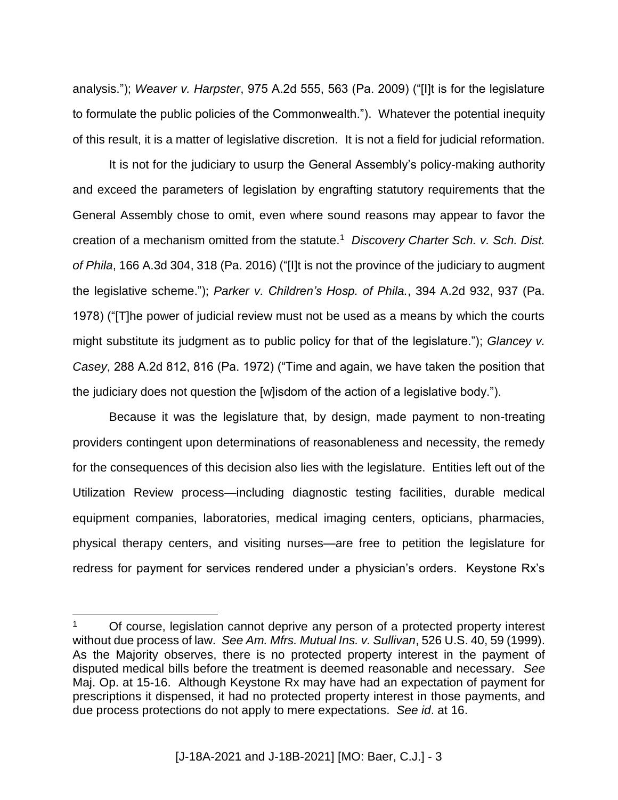analysis."); *Weaver v. Harpster*, 975 A.2d 555, 563 (Pa. 2009) ("[I]t is for the legislature to formulate the public policies of the Commonwealth."). Whatever the potential inequity of this result, it is a matter of legislative discretion. It is not a field for judicial reformation.

It is not for the judiciary to usurp the General Assembly's policy-making authority and exceed the parameters of legislation by engrafting statutory requirements that the General Assembly chose to omit, even where sound reasons may appear to favor the creation of a mechanism omitted from the statute.<sup>1</sup> *Discovery Charter Sch. v. Sch. Dist. of Phila*, 166 A.3d 304, 318 (Pa. 2016) ("[I]t is not the province of the judiciary to augment the legislative scheme."); *Parker v. Children's Hosp. of Phila.*, 394 A.2d 932, 937 (Pa. 1978) ("[T]he power of judicial review must not be used as a means by which the courts might substitute its judgment as to public policy for that of the legislature."); *Glancey v. Casey*, 288 A.2d 812, 816 (Pa. 1972) ("Time and again, we have taken the position that the judiciary does not question the [w]isdom of the action of a legislative body.").

Because it was the legislature that, by design, made payment to non-treating providers contingent upon determinations of reasonableness and necessity, the remedy for the consequences of this decision also lies with the legislature. Entities left out of the Utilization Review process—including diagnostic testing facilities, durable medical equipment companies, laboratories, medical imaging centers, opticians, pharmacies, physical therapy centers, and visiting nurses—are free to petition the legislature for redress for payment for services rendered under a physician's orders. Keystone Rx's

 $\overline{a}$ 

<sup>1</sup> Of course, legislation cannot deprive any person of a protected property interest without due process of law. *See Am. Mfrs. Mutual Ins. v. Sullivan*, 526 U.S. 40, 59 (1999). As the Majority observes, there is no protected property interest in the payment of disputed medical bills before the treatment is deemed reasonable and necessary. *See* Maj. Op. at 15-16. Although Keystone Rx may have had an expectation of payment for prescriptions it dispensed, it had no protected property interest in those payments, and due process protections do not apply to mere expectations. *See id*. at 16.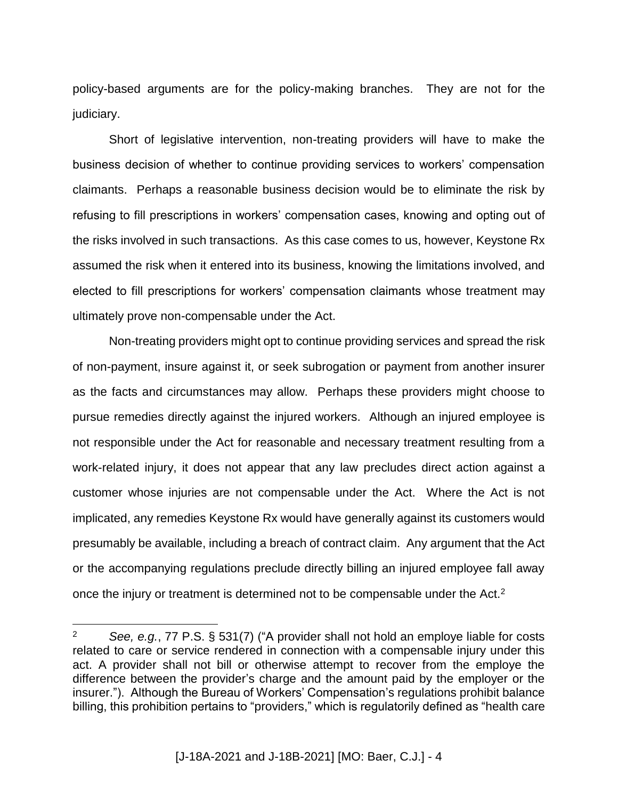policy-based arguments are for the policy-making branches. They are not for the judiciary.

Short of legislative intervention, non-treating providers will have to make the business decision of whether to continue providing services to workers' compensation claimants. Perhaps a reasonable business decision would be to eliminate the risk by refusing to fill prescriptions in workers' compensation cases, knowing and opting out of the risks involved in such transactions. As this case comes to us, however, Keystone Rx assumed the risk when it entered into its business, knowing the limitations involved, and elected to fill prescriptions for workers' compensation claimants whose treatment may ultimately prove non-compensable under the Act.

Non-treating providers might opt to continue providing services and spread the risk of non-payment, insure against it, or seek subrogation or payment from another insurer as the facts and circumstances may allow. Perhaps these providers might choose to pursue remedies directly against the injured workers. Although an injured employee is not responsible under the Act for reasonable and necessary treatment resulting from a work-related injury, it does not appear that any law precludes direct action against a customer whose injuries are not compensable under the Act. Where the Act is not implicated, any remedies Keystone Rx would have generally against its customers would presumably be available, including a breach of contract claim. Any argument that the Act or the accompanying regulations preclude directly billing an injured employee fall away once the injury or treatment is determined not to be compensable under the Act.<sup>2</sup>

 $\overline{a}$ 

<sup>2</sup> *See, e.g.*, 77 P.S. § 531(7) ("A provider shall not hold an employe liable for costs related to care or service rendered in connection with a compensable injury under this act. A provider shall not bill or otherwise attempt to recover from the employe the difference between the provider's charge and the amount paid by the employer or the insurer."). Although the Bureau of Workers' Compensation's regulations prohibit balance billing, this prohibition pertains to "providers," which is regulatorily defined as "health care